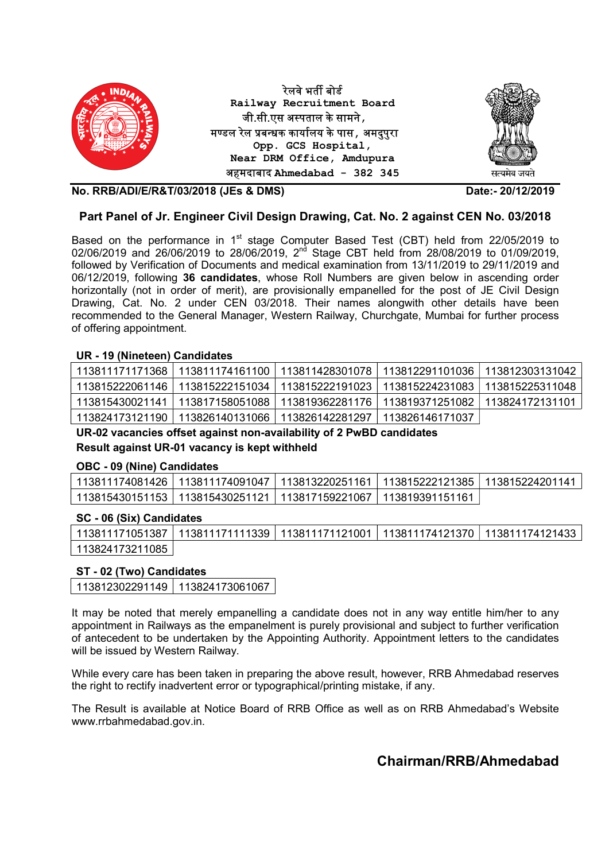

## Part Panel of Jr. Engineer Civil Design Drawing, Cat. No. 2 against CEN No. 03/2018

Based on the performance in  $1<sup>st</sup>$  stage Computer Based Test (CBT) held from 22/05/2019 to 02/06/2019 and 26/06/2019 to 28/06/2019, 2<sup>nd</sup> Stage CBT held from 28/08/2019 to 01/09/2019, followed by Verification of Documents and medical examination from 13/11/2019 to 29/11/2019 and 06/12/2019, following 36 candidates, whose Roll Numbers are given below in ascending order horizontally (not in order of merit), are provisionally empanelled for the post of JE Civil Design Drawing, Cat. No. 2 under CEN 03/2018. Their names alongwith other details have been recommended to the General Manager, Western Railway, Churchgate, Mumbai for further process of offering appointment.

#### UR - 19 (Nineteen) Candidates

| 113811171171368 113811174161100 113811428301078 113812291101036 113812303131042 |  |  |
|---------------------------------------------------------------------------------|--|--|
| 113815222061146 113815222151034 113815222191023 113815224231083 113815225311048 |  |  |
| 113815430021141 113817158051088 113819362281176 113819371251082 113824172131101 |  |  |
| 113824173121190 113826140131066 113826142281297 113826146171037                 |  |  |

UR-02 vacancies offset against non-availability of 2 PwBD candidates Result against UR-01 vacancy is kept withheld

#### OBC - 09 (Nine) Candidates

| 113811174081426   113811174091047   113813220251161   113815222121385   113815224201141 |  |  |
|-----------------------------------------------------------------------------------------|--|--|
| 113815430151153   113815430251121   113817159221067   113819391151161                   |  |  |

#### SC - 06 (Six) Candidates

|                 | 113811171051387   113811171111339   113811171121001   113811174121370   113811174121433 |  |  |
|-----------------|-----------------------------------------------------------------------------------------|--|--|
| 113824173211085 |                                                                                         |  |  |

#### ST - 02 (Two) Candidates

| 113812302291149 | 113824173061067 |
|-----------------|-----------------|
|-----------------|-----------------|

It may be noted that merely empanelling a candidate does not in any way entitle him/her to any appointment in Railways as the empanelment is purely provisional and subject to further verification of antecedent to be undertaken by the Appointing Authority. Appointment letters to the candidates will be issued by Western Railway.

While every care has been taken in preparing the above result, however, RRB Ahmedabad reserves the right to rectify inadvertent error or typographical/printing mistake, if any.

The Result is available at Notice Board of RRB Office as well as on RRB Ahmedabad's Website www.rrbahmedabad.gov.in.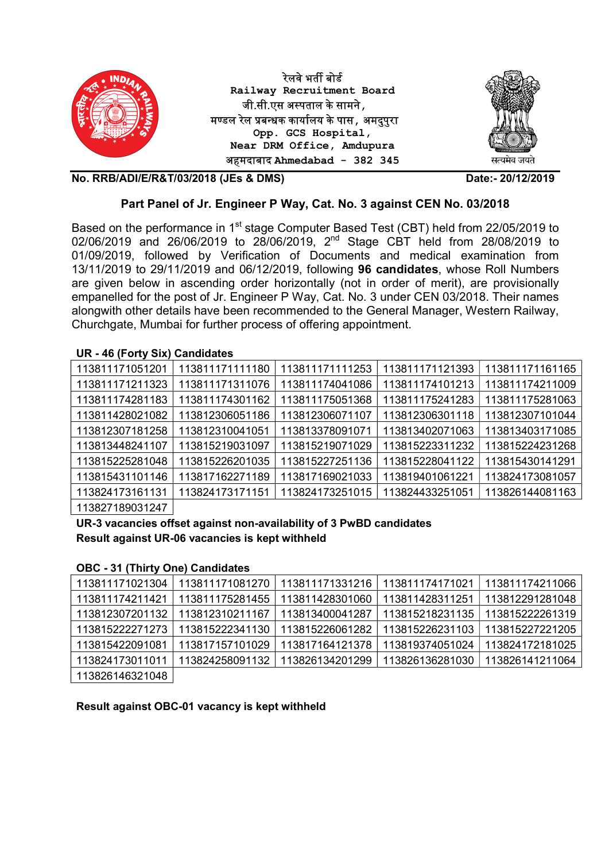

#### Part Panel of Jr. Engineer P Way, Cat. No. 3 against CEN No. 03/2018

Based on the performance in 1<sup>st</sup> stage Computer Based Test (CBT) held from 22/05/2019 to 02/06/2019 and 26/06/2019 to 28/06/2019, 2<sup>nd</sup> Stage CBT held from 28/08/2019 to 01/09/2019, followed by Verification of Documents and medical examination from 13/11/2019 to 29/11/2019 and 06/12/2019, following 96 candidates, whose Roll Numbers are given below in ascending order horizontally (not in order of merit), are provisionally empanelled for the post of Jr. Engineer P Way, Cat. No. 3 under CEN 03/2018. Their names alongwith other details have been recommended to the General Manager, Western Railway, Churchgate, Mumbai for further process of offering appointment.

#### UR - 46 (Forty Six) Candidates

| 113811171051201 | 113811171111180 | 113811171111253 | 113811171121393 | 113811171161165 |
|-----------------|-----------------|-----------------|-----------------|-----------------|
| 113811171211323 | 113811171311076 | 113811174041086 | 113811174101213 | 113811174211009 |
| 113811174281183 | 113811174301162 | 113811175051368 | 113811175241283 | 113811175281063 |
| 113811428021082 | 113812306051186 | 113812306071107 | 113812306301118 | 113812307101044 |
| 113812307181258 | 113812310041051 | 113813378091071 | 113813402071063 | 113813403171085 |
| 113813448241107 | 113815219031097 | 113815219071029 | 113815223311232 | 113815224231268 |
| 113815225281048 | 113815226201035 | 113815227251136 | 113815228041122 | 113815430141291 |
| 113815431101146 | 113817162271189 | 113817169021033 | 113819401061221 | 113824173081057 |
| 113824173161131 | 113824173171151 | 113824173251015 | 113824433251051 | 113826144081163 |
| 113827180031247 |                 |                 |                 |                 |

113827189031247

UR-3 vacancies offset against non-availability of 3 PwBD candidates Result against UR-06 vacancies is kept withheld

#### OBC - 31 (Thirty One) Candidates

| 113811171021304 | 113811171081270 | 113811171331216 | 113811174171021 | 113811174211066 |
|-----------------|-----------------|-----------------|-----------------|-----------------|
| 113811174211421 | 113811175281455 | 113811428301060 | 113811428311251 | 113812291281048 |
| 113812307201132 | 113812310211167 | 113813400041287 | 113815218231135 | 113815222261319 |
| 113815222271273 | 113815222341130 | 113815226061282 | 113815226231103 | 113815227221205 |
| 113815422091081 | 113817157101029 | 113817164121378 | 113819374051024 | 113824172181025 |
| 113824173011011 | 113824258091132 | 113826134201299 | 113826136281030 | 113826141211064 |
| 113826146321048 |                 |                 |                 |                 |

Result against OBC-01 vacancy is kept withheld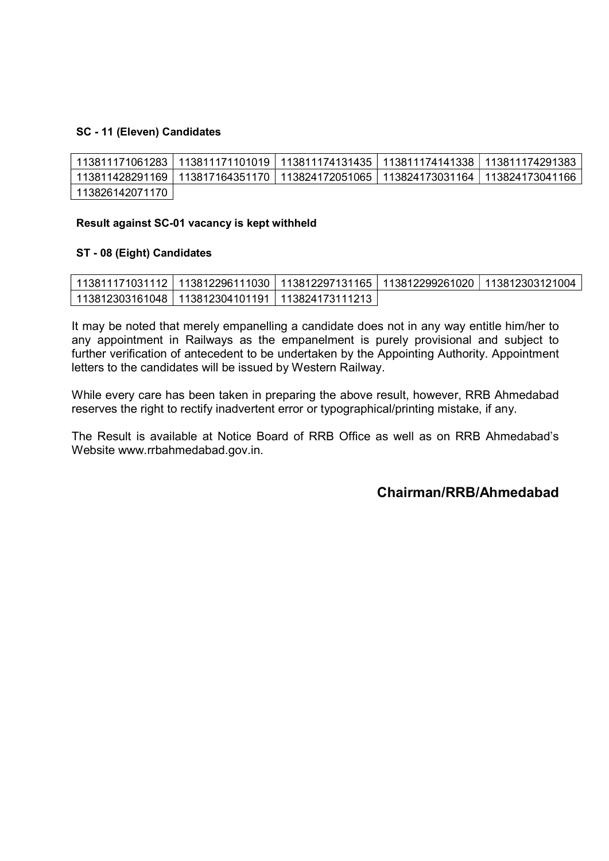## SC - 11 (Eleven) Candidates

|                 |  | 113811171061283   113811171101019   113811174131435   113811174141338   113811174291383 |
|-----------------|--|-----------------------------------------------------------------------------------------|
|                 |  | 113811428291169   113817164351170   113824172051065   113824173031164   113824173041166 |
| 113826142071170 |  |                                                                                         |

## Result against SC-01 vacancy is kept withheld

#### ST - 08 (Eight) Candidates

| 113811171031112   113812296111030   113812297131165   113812299261020   113812303121004 |  |  |
|-----------------------------------------------------------------------------------------|--|--|
| 113812303161048丨113812304101191丨113824173111213丨                                        |  |  |

It may be noted that merely empanelling a candidate does not in any way entitle him/her to any appointment in Railways as the empanelment is purely provisional and subject to further verification of antecedent to be undertaken by the Appointing Authority. Appointment letters to the candidates will be issued by Western Railway.

While every care has been taken in preparing the above result, however, RRB Ahmedabad reserves the right to rectify inadvertent error or typographical/printing mistake, if any.

The Result is available at Notice Board of RRB Office as well as on RRB Ahmedabad's Website www.rrbahmedabad.gov.in.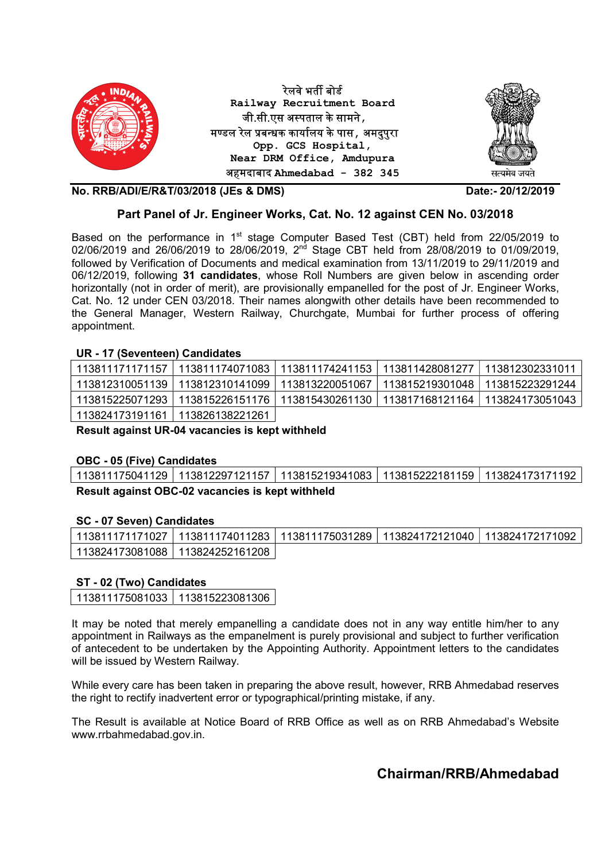

#### Part Panel of Jr. Engineer Works, Cat. No. 12 against CEN No. 03/2018

Based on the performance in  $1<sup>st</sup>$  stage Computer Based Test (CBT) held from 22/05/2019 to 02/06/2019 and 26/06/2019 to 28/06/2019, 2<sup>nd</sup> Stage CBT held from 28/08/2019 to 01/09/2019, followed by Verification of Documents and medical examination from 13/11/2019 to 29/11/2019 and 06/12/2019, following 31 candidates, whose Roll Numbers are given below in ascending order horizontally (not in order of merit), are provisionally empanelled for the post of Jr. Engineer Works, Cat. No. 12 under CEN 03/2018. Their names alongwith other details have been recommended to the General Manager, Western Railway, Churchgate, Mumbai for further process of offering appointment.

#### UR - 17 (Seventeen) Candidates

|                                 | _113811171171157 113811174071083 113811174241153 113811428081277 113812302331011 |                                                                                 |
|---------------------------------|----------------------------------------------------------------------------------|---------------------------------------------------------------------------------|
|                                 | _113812310051139 113812310141099 113813220051067 113815219301048 113815223291244 |                                                                                 |
|                                 |                                                                                  | 113815225071293 113815226151176 113815430261130 113817168121164 113824173051043 |
| 113824173191161 113826138221261 |                                                                                  |                                                                                 |

Result against UR-04 vacancies is kept withheld

#### OBC - 05 (Five) Candidates

113811175041129 113812297121157 113815219341083 113815222181159 113824173171192 Result against OBC-02 vacancies is kept withheld

#### SC - 07 Seven) Candidates

| 113811171171027   113811174011283   113811175031289   113824172121040   113824172171092 |  |  |
|-----------------------------------------------------------------------------------------|--|--|
| 113824173081088   113824252161208                                                       |  |  |

#### ST - 02 (Two) Candidates

113811175081033 113815223081306

It may be noted that merely empanelling a candidate does not in any way entitle him/her to any appointment in Railways as the empanelment is purely provisional and subject to further verification of antecedent to be undertaken by the Appointing Authority. Appointment letters to the candidates will be issued by Western Railway.

While every care has been taken in preparing the above result, however, RRB Ahmedabad reserves the right to rectify inadvertent error or typographical/printing mistake, if any.

The Result is available at Notice Board of RRB Office as well as on RRB Ahmedabad's Website www.rrbahmedabad.gov.in.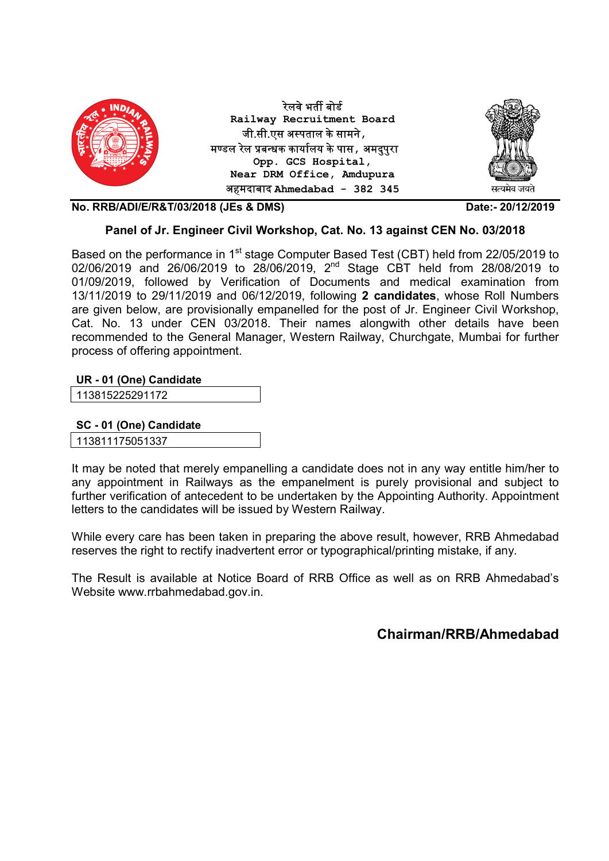

## Panel of Jr. Engineer Civil Workshop, Cat. No. 13 against CEN No. 03/2018

Based on the performance in 1<sup>st</sup> stage Computer Based Test (CBT) held from 22/05/2019 to 02/06/2019 and 26/06/2019 to 28/06/2019, 2<sup>nd</sup> Stage CBT held from 28/08/2019 to 01/09/2019, followed by Verification of Documents and medical examination from 13/11/2019 to 29/11/2019 and 06/12/2019, following 2 candidates, whose Roll Numbers are given below, are provisionally empanelled for the post of Jr. Engineer Civil Workshop, Cat. No. 13 under CEN 03/2018. Their names alongwith other details have been recommended to the General Manager, Western Railway, Churchgate, Mumbai for further process of offering appointment.

## UR - 01 (One) Candidate

113815225291172

SC - 01 (One) Candidate

113811175051337

It may be noted that merely empanelling a candidate does not in any way entitle him/her to any appointment in Railways as the empanelment is purely provisional and subject to further verification of antecedent to be undertaken by the Appointing Authority. Appointment letters to the candidates will be issued by Western Railway.

While every care has been taken in preparing the above result, however, RRB Ahmedabad reserves the right to rectify inadvertent error or typographical/printing mistake, if any.

The Result is available at Notice Board of RRB Office as well as on RRB Ahmedabad's Website www.rrbahmedabad.gov.in.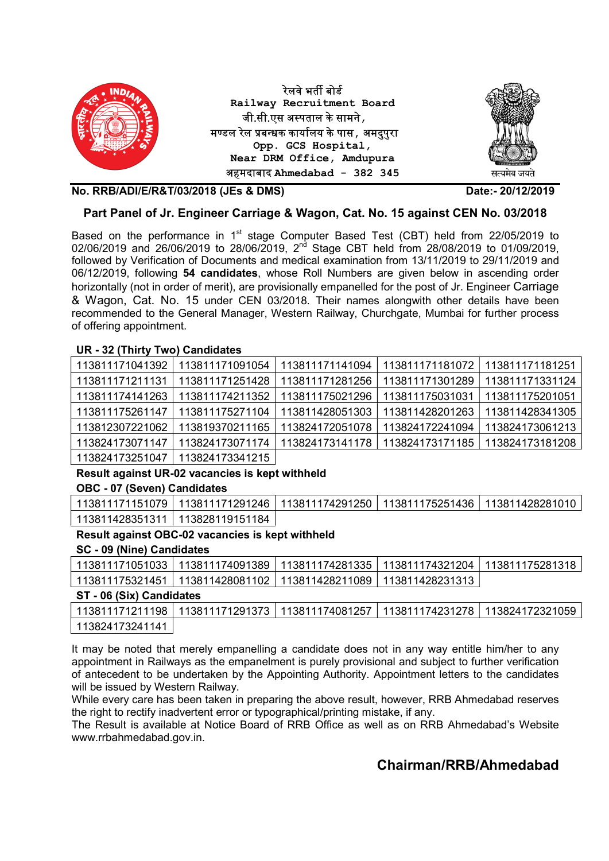

## Part Panel of Jr. Engineer Carriage & Wagon, Cat. No. 15 against CEN No. 03/2018

Based on the performance in  $1<sup>st</sup>$  stage Computer Based Test (CBT) held from 22/05/2019 to 02/06/2019 and 26/06/2019 to 28/06/2019, 2<sup>nd</sup> Stage CBT held from 28/08/2019 to 01/09/2019, followed by Verification of Documents and medical examination from 13/11/2019 to 29/11/2019 and 06/12/2019, following 54 candidates, whose Roll Numbers are given below in ascending order horizontally (not in order of merit), are provisionally empanelled for the post of Jr. Engineer Carriage & Wagon, Cat. No. 15 under CEN 03/2018. Their names alongwith other details have been recommended to the General Manager, Western Railway, Churchgate, Mumbai for further process of offering appointment.

#### UR - 32 (Thirty Two) Candidates

| 113811171041392 | 113811171091054 | 113811171141094 | 113811171181072 | 113811171181251 |
|-----------------|-----------------|-----------------|-----------------|-----------------|
| 113811171211131 | 113811171251428 | 113811171281256 | 113811171301289 | 113811171331124 |
| 113811174141263 | 113811174211352 | 113811175021296 | 113811175031031 | 113811175201051 |
| 113811175261147 | 113811175271104 | 113811428051303 | 113811428201263 | 113811428341305 |
| 113812307221062 | 113819370211165 | 113824172051078 | 113824172241094 | 113824173061213 |
| 113824173071147 | 113824173071174 | 113824173141178 | 113824173171185 | 113824173181208 |
| 113824173251047 | 113824173341215 |                 |                 |                 |

#### Result against UR-02 vacancies is kept withheld

#### OBC - 07 (Seven) Candidates

|                                   |  | 113811171151079   113811171291246   113811174291250   113811175251436   113811428281010 |
|-----------------------------------|--|-----------------------------------------------------------------------------------------|
| 113811428351311   113828119151184 |  |                                                                                         |

## Result against OBC-02 vacancies is kept withheld

#### SC - 09 (Nine) Candidates

|                                                                 |  | 113811171051033 113811174091389 113811174281335 113811174321204 113811175281318 |
|-----------------------------------------------------------------|--|---------------------------------------------------------------------------------|
| 113811175321451 113811428081102 113811428211089 113811428231313 |  |                                                                                 |

#### ST - 06 (Six) Candidates

|                 | 113811171211198 113811171291373 113811174081257 113811174231278 113824172321059 |  |  |
|-----------------|---------------------------------------------------------------------------------|--|--|
| 113824173241141 |                                                                                 |  |  |

It may be noted that merely empanelling a candidate does not in any way entitle him/her to any appointment in Railways as the empanelment is purely provisional and subject to further verification of antecedent to be undertaken by the Appointing Authority. Appointment letters to the candidates will be issued by Western Railway.

While every care has been taken in preparing the above result, however, RRB Ahmedabad reserves the right to rectify inadvertent error or typographical/printing mistake, if any.

The Result is available at Notice Board of RRB Office as well as on RRB Ahmedabad's Website www.rrbahmedabad.gov.in.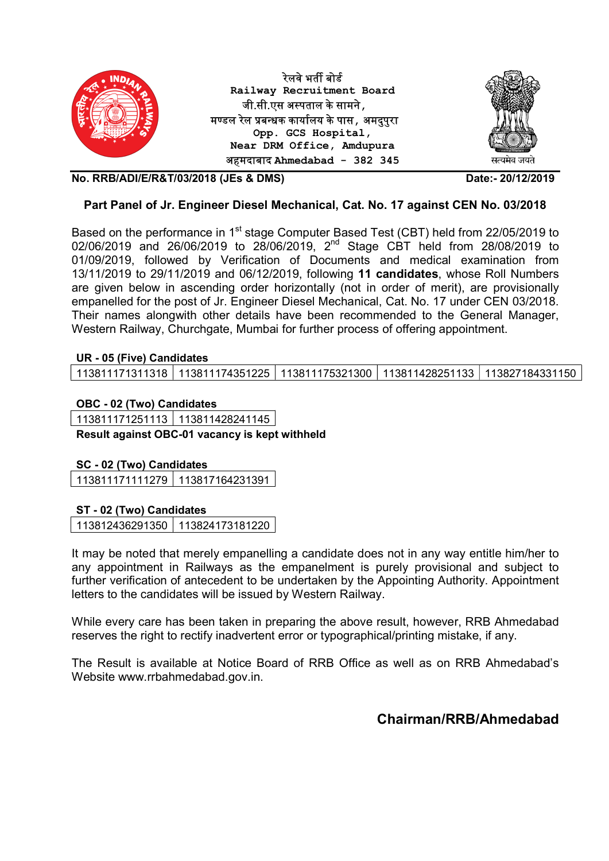

## Part Panel of Jr. Engineer Diesel Mechanical, Cat. No. 17 against CEN No. 03/2018

Based on the performance in 1<sup>st</sup> stage Computer Based Test (CBT) held from 22/05/2019 to 02/06/2019 and 26/06/2019 to 28/06/2019, 2<sup>nd</sup> Stage CBT held from 28/08/2019 to 01/09/2019, followed by Verification of Documents and medical examination from 13/11/2019 to 29/11/2019 and 06/12/2019, following 11 candidates, whose Roll Numbers are given below in ascending order horizontally (not in order of merit), are provisionally empanelled for the post of Jr. Engineer Diesel Mechanical, Cat. No. 17 under CEN 03/2018. Their names alongwith other details have been recommended to the General Manager, Western Railway, Churchgate, Mumbai for further process of offering appointment.

#### UR - 05 (Five) Candidates

113811171311318 113811174351225 113811175321300 113811428251133 113827184331150

#### OBC - 02 (Two) Candidates

113811171251113 113811428241145 Result against OBC-01 vacancy is kept withheld

## SC - 02 (Two) Candidates

113811171111279 113817164231391

## ST - 02 (Two) Candidates

113812436291350 113824173181220

It may be noted that merely empanelling a candidate does not in any way entitle him/her to any appointment in Railways as the empanelment is purely provisional and subject to further verification of antecedent to be undertaken by the Appointing Authority. Appointment letters to the candidates will be issued by Western Railway.

While every care has been taken in preparing the above result, however, RRB Ahmedabad reserves the right to rectify inadvertent error or typographical/printing mistake, if any.

The Result is available at Notice Board of RRB Office as well as on RRB Ahmedabad's Website www.rrbahmedabad.gov.in.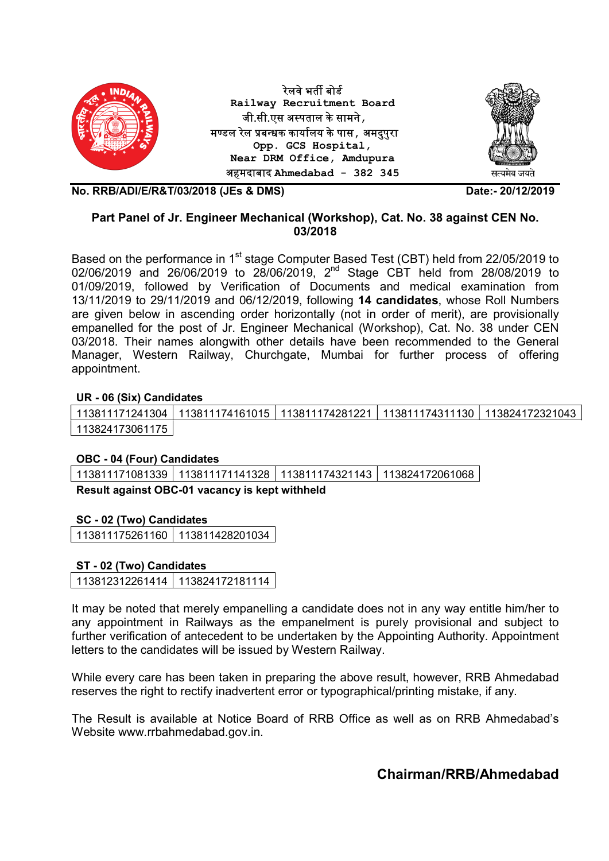

## Part Panel of Jr. Engineer Mechanical (Workshop), Cat. No. 38 against CEN No. 03/2018

Based on the performance in 1<sup>st</sup> stage Computer Based Test (CBT) held from 22/05/2019 to 02/06/2019 and 26/06/2019 to 28/06/2019, 2<sup>nd</sup> Stage CBT held from 28/08/2019 to 01/09/2019, followed by Verification of Documents and medical examination from 13/11/2019 to 29/11/2019 and 06/12/2019, following 14 candidates, whose Roll Numbers are given below in ascending order horizontally (not in order of merit), are provisionally empanelled for the post of Jr. Engineer Mechanical (Workshop), Cat. No. 38 under CEN 03/2018. Their names alongwith other details have been recommended to the General Manager, Western Railway, Churchgate, Mumbai for further process of offering appointment.

## UR - 06 (Six) Candidates

113811171241304 113811174161015 113811174281221 113811174311130 113824172321043 113824173061175

## OBC - 04 (Four) Candidates

113811171081339 | 113811171141328 | 113811174321143 | 113824172061068

Result against OBC-01 vacancy is kept withheld

## SC - 02 (Two) Candidates

113811175261160 113811428201034

## ST - 02 (Two) Candidates

113812312261414 113824172181114

It may be noted that merely empanelling a candidate does not in any way entitle him/her to any appointment in Railways as the empanelment is purely provisional and subject to further verification of antecedent to be undertaken by the Appointing Authority. Appointment letters to the candidates will be issued by Western Railway.

While every care has been taken in preparing the above result, however, RRB Ahmedabad reserves the right to rectify inadvertent error or typographical/printing mistake, if any.

The Result is available at Notice Board of RRB Office as well as on RRB Ahmedabad's Website www.rrbahmedabad.gov.in.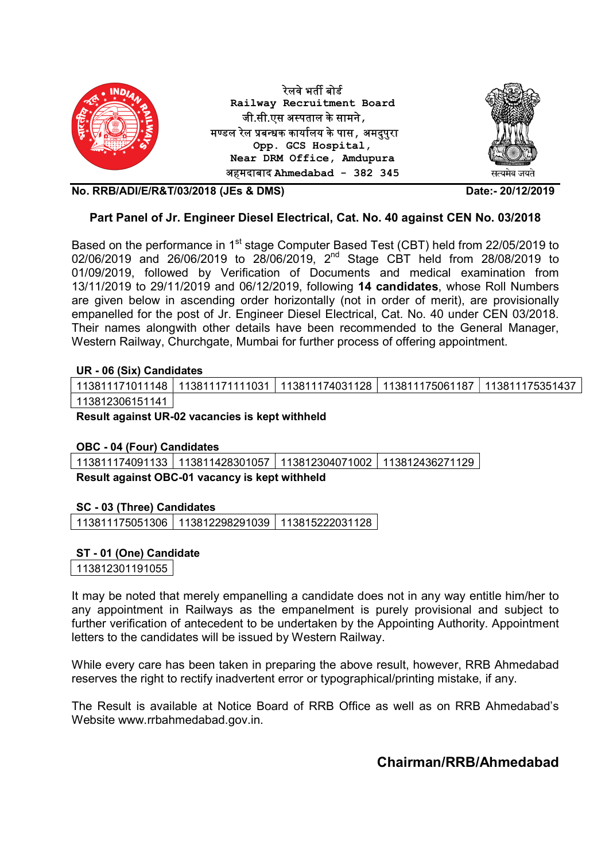

## Part Panel of Jr. Engineer Diesel Electrical, Cat. No. 40 against CEN No. 03/2018

Based on the performance in 1<sup>st</sup> stage Computer Based Test (CBT) held from 22/05/2019 to 02/06/2019 and 26/06/2019 to 28/06/2019, 2nd Stage CBT held from 28/08/2019 to 01/09/2019, followed by Verification of Documents and medical examination from 13/11/2019 to 29/11/2019 and 06/12/2019, following 14 candidates, whose Roll Numbers are given below in ascending order horizontally (not in order of merit), are provisionally empanelled for the post of Jr. Engineer Diesel Electrical, Cat. No. 40 under CEN 03/2018. Their names alongwith other details have been recommended to the General Manager, Western Railway, Churchgate, Mumbai for further process of offering appointment.

## UR - 06 (Six) Candidates

|                 | 113811171011148 113811171111031 113811174031128 113811175061187 113811175351437 |  |  |
|-----------------|---------------------------------------------------------------------------------|--|--|
| 113812306151141 |                                                                                 |  |  |

Result against UR-02 vacancies is kept withheld

## OBC - 04 (Four) Candidates

113811174091133 113811428301057 113812304071002 113812436271129

Result against OBC-01 vacancy is kept withheld

#### SC - 03 (Three) Candidates

113811175051306 113812298291039 113815222031128

## ST - 01 (One) Candidate

113812301191055

It may be noted that merely empanelling a candidate does not in any way entitle him/her to any appointment in Railways as the empanelment is purely provisional and subject to further verification of antecedent to be undertaken by the Appointing Authority. Appointment letters to the candidates will be issued by Western Railway.

While every care has been taken in preparing the above result, however, RRB Ahmedabad reserves the right to rectify inadvertent error or typographical/printing mistake, if any.

The Result is available at Notice Board of RRB Office as well as on RRB Ahmedabad's Website www.rrbahmedabad.gov.in.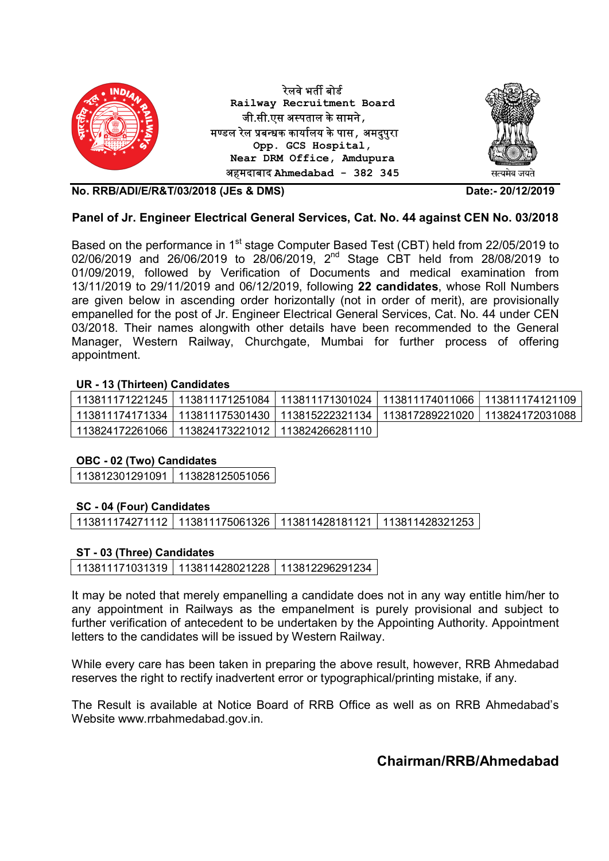

## Panel of Jr. Engineer Electrical General Services, Cat. No. 44 against CEN No. 03/2018

Based on the performance in 1<sup>st</sup> stage Computer Based Test (CBT) held from 22/05/2019 to 02/06/2019 and 26/06/2019 to 28/06/2019, 2nd Stage CBT held from 28/08/2019 to 01/09/2019, followed by Verification of Documents and medical examination from 13/11/2019 to 29/11/2019 and 06/12/2019, following 22 candidates, whose Roll Numbers are given below in ascending order horizontally (not in order of merit), are provisionally empanelled for the post of Jr. Engineer Electrical General Services, Cat. No. 44 under CEN 03/2018. Their names alongwith other details have been recommended to the General Manager, Western Railway, Churchgate, Mumbai for further process of offering appointment.

## UR - 13 (Thirteen) Candidates

|                                                     |  | 113811171221245 113811171251084 113811171301024 113811174011066 113811174121109         |
|-----------------------------------------------------|--|-----------------------------------------------------------------------------------------|
|                                                     |  | 113811174171334   113811175301430   113815222321134   113817289221020   113824172031088 |
| 113824172261066   113824173221012   113824266281110 |  |                                                                                         |

## OBC - 02 (Two) Candidates

113812301291091 113828125051056

## SC - 04 (Four) Candidates

113811174271112 113811175061326 113811428181121 113811428321253

## ST - 03 (Three) Candidates

|  | 113811171031319   113811428021228   113812296291234 |  |
|--|-----------------------------------------------------|--|
|--|-----------------------------------------------------|--|

It may be noted that merely empanelling a candidate does not in any way entitle him/her to any appointment in Railways as the empanelment is purely provisional and subject to further verification of antecedent to be undertaken by the Appointing Authority. Appointment letters to the candidates will be issued by Western Railway.

While every care has been taken in preparing the above result, however, RRB Ahmedabad reserves the right to rectify inadvertent error or typographical/printing mistake, if any.

The Result is available at Notice Board of RRB Office as well as on RRB Ahmedabad's Website www.rrbahmedabad.gov.in.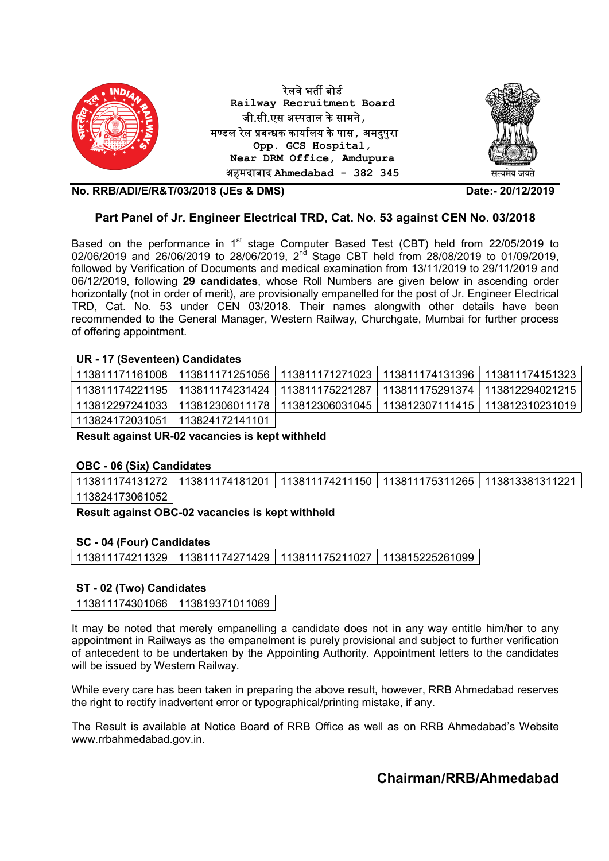

## Part Panel of Jr. Engineer Electrical TRD, Cat. No. 53 against CEN No. 03/2018

Based on the performance in  $1<sup>st</sup>$  stage Computer Based Test (CBT) held from 22/05/2019 to 02/06/2019 and 26/06/2019 to 28/06/2019, 2nd Stage CBT held from 28/08/2019 to 01/09/2019, followed by Verification of Documents and medical examination from 13/11/2019 to 29/11/2019 and 06/12/2019, following 29 candidates, whose Roll Numbers are given below in ascending order horizontally (not in order of merit), are provisionally empanelled for the post of Jr. Engineer Electrical TRD, Cat. No. 53 under CEN 03/2018. Their names alongwith other details have been recommended to the General Manager, Western Railway, Churchgate, Mumbai for further process of offering appointment.

#### UR - 17 (Seventeen) Candidates

|                 |                 |                                                                                 | 113811171161008   113811171251056   113811171271023   113811174131396   113811174151323 |
|-----------------|-----------------|---------------------------------------------------------------------------------|-----------------------------------------------------------------------------------------|
|                 |                 | 113811174221195 113811174231424 113811175221287 113811175291374 113812294021215 |                                                                                         |
|                 |                 |                                                                                 | 113812297241033 113812306011178 113812306031045 113812307111415 113812310231019         |
| 113824172031051 | 113824172141101 |                                                                                 |                                                                                         |

Result against UR-02 vacancies is kept withheld

#### OBC - 06 (Six) Candidates

113811174131272 113811174181201 113811174211150 113811175311265 113813381311221 113824173061052

Result against OBC-02 vacancies is kept withheld

## SC - 04 (Four) Candidates

113811174211329 113811174271429 113811175211027 113815225261099

#### ST - 02 (Two) Candidates

113811174301066 113819371011069

It may be noted that merely empanelling a candidate does not in any way entitle him/her to any appointment in Railways as the empanelment is purely provisional and subject to further verification of antecedent to be undertaken by the Appointing Authority. Appointment letters to the candidates will be issued by Western Railway.

While every care has been taken in preparing the above result, however, RRB Ahmedabad reserves the right to rectify inadvertent error or typographical/printing mistake, if any.

The Result is available at Notice Board of RRB Office as well as on RRB Ahmedabad's Website www.rrbahmedabad.gov.in.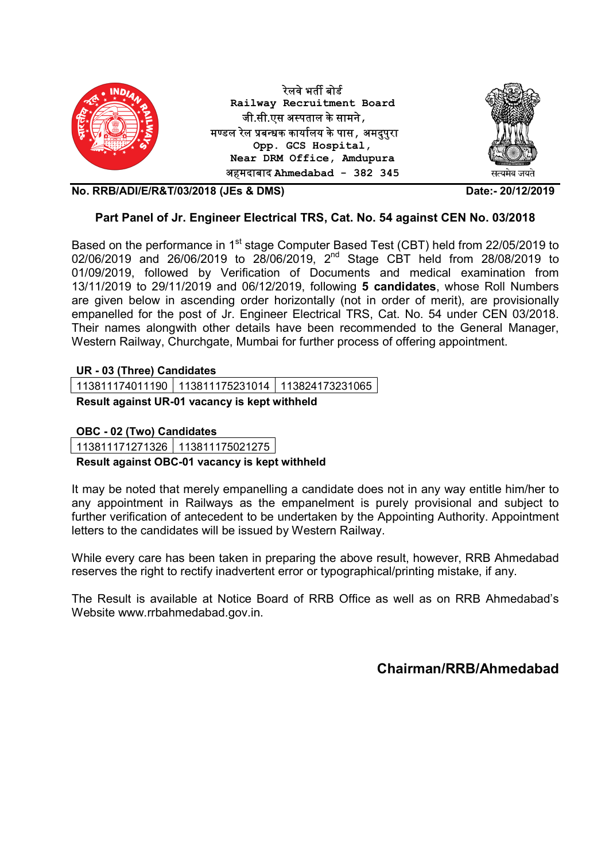

## Part Panel of Jr. Engineer Electrical TRS, Cat. No. 54 against CEN No. 03/2018

Based on the performance in 1<sup>st</sup> stage Computer Based Test (CBT) held from 22/05/2019 to 02/06/2019 and 26/06/2019 to 28/06/2019, 2nd Stage CBT held from 28/08/2019 to 01/09/2019, followed by Verification of Documents and medical examination from 13/11/2019 to 29/11/2019 and 06/12/2019, following 5 candidates, whose Roll Numbers are given below in ascending order horizontally (not in order of merit), are provisionally empanelled for the post of Jr. Engineer Electrical TRS, Cat. No. 54 under CEN 03/2018. Their names alongwith other details have been recommended to the General Manager, Western Railway, Churchgate, Mumbai for further process of offering appointment.

## UR - 03 (Three) Candidates

113811174011190 113811175231014 113824173231065

Result against UR-01 vacancy is kept withheld

OBC - 02 (Two) Candidates

113811171271326 113811175021275

## Result against OBC-01 vacancy is kept withheld

It may be noted that merely empanelling a candidate does not in any way entitle him/her to any appointment in Railways as the empanelment is purely provisional and subject to further verification of antecedent to be undertaken by the Appointing Authority. Appointment letters to the candidates will be issued by Western Railway.

While every care has been taken in preparing the above result, however, RRB Ahmedabad reserves the right to rectify inadvertent error or typographical/printing mistake, if any.

The Result is available at Notice Board of RRB Office as well as on RRB Ahmedabad's Website www.rrbahmedabad.gov.in.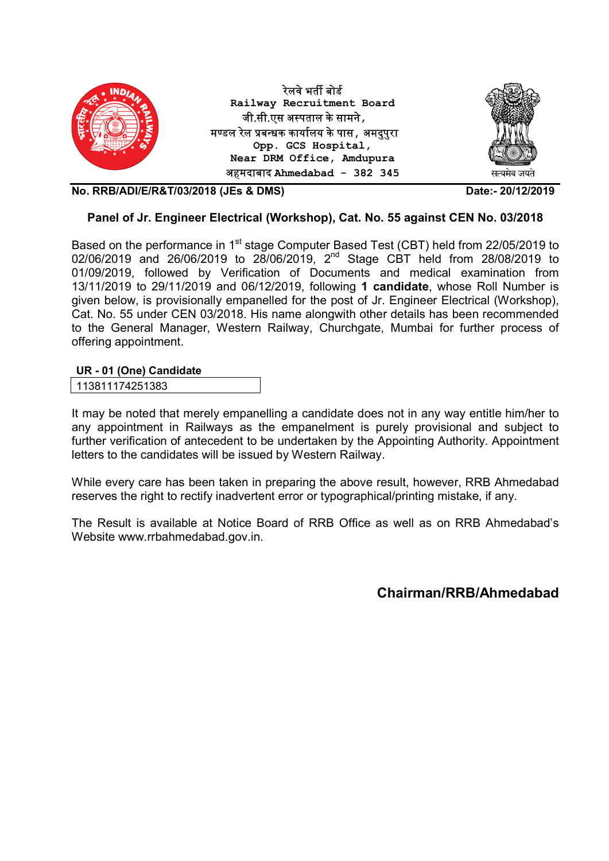

## Panel of Jr. Engineer Electrical (Workshop), Cat. No. 55 against CEN No. 03/2018

Based on the performance in 1<sup>st</sup> stage Computer Based Test (CBT) held from 22/05/2019 to 02/06/2019 and 26/06/2019 to 28/06/2019, 2nd Stage CBT held from 28/08/2019 to 01/09/2019, followed by Verification of Documents and medical examination from 13/11/2019 to 29/11/2019 and 06/12/2019, following 1 candidate, whose Roll Number is given below, is provisionally empanelled for the post of Jr. Engineer Electrical (Workshop), Cat. No. 55 under CEN 03/2018. His name alongwith other details has been recommended to the General Manager, Western Railway, Churchgate, Mumbai for further process of offering appointment.

## UR - 01 (One) Candidate

| 113811174251383 |  |
|-----------------|--|
|-----------------|--|

It may be noted that merely empanelling a candidate does not in any way entitle him/her to any appointment in Railways as the empanelment is purely provisional and subject to further verification of antecedent to be undertaken by the Appointing Authority. Appointment letters to the candidates will be issued by Western Railway.

While every care has been taken in preparing the above result, however, RRB Ahmedabad reserves the right to rectify inadvertent error or typographical/printing mistake, if any.

The Result is available at Notice Board of RRB Office as well as on RRB Ahmedabad's Website www.rrbahmedabad.gov.in.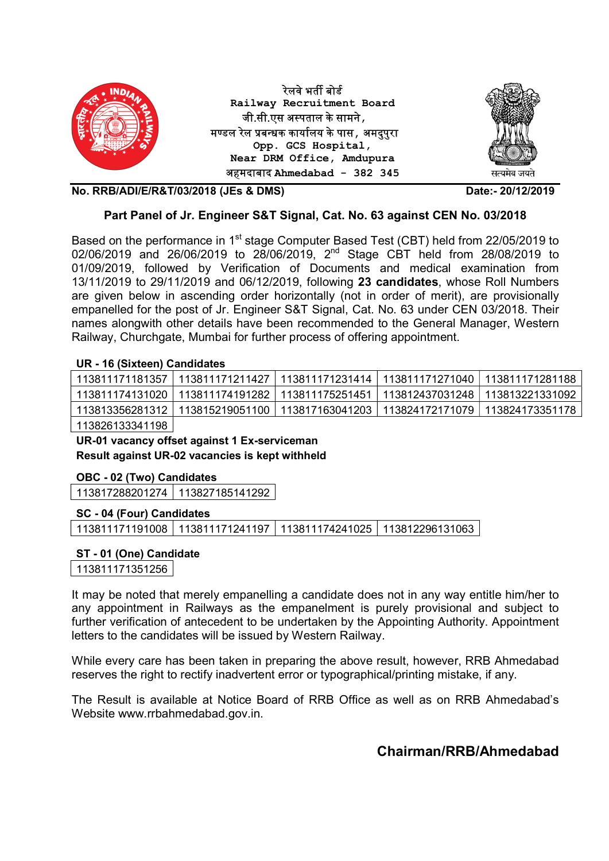

## Part Panel of Jr. Engineer S&T Signal, Cat. No. 63 against CEN No. 03/2018

Based on the performance in 1<sup>st</sup> stage Computer Based Test (CBT) held from 22/05/2019 to 02/06/2019 and 26/06/2019 to 28/06/2019, 2<sup>nd</sup> Stage CBT held from 28/08/2019 to 01/09/2019, followed by Verification of Documents and medical examination from 13/11/2019 to 29/11/2019 and 06/12/2019, following 23 candidates, whose Roll Numbers are given below in ascending order horizontally (not in order of merit), are provisionally empanelled for the post of Jr. Engineer S&T Signal, Cat. No. 63 under CEN 03/2018. Their names alongwith other details have been recommended to the General Manager, Western Railway, Churchgate, Mumbai for further process of offering appointment.

## UR - 16 (Sixteen) Candidates

|                 | 113811171181357   113811171211427   113811171231414   113811171271040   113811171281188 |  |  |
|-----------------|-----------------------------------------------------------------------------------------|--|--|
|                 | 113811174131020   113811174191282   113811175251451   113812437031248   113813221331092 |  |  |
|                 | 113813356281312 113815219051100 113817163041203 113824172171079 113824173351178         |  |  |
| 112026122211100 |                                                                                         |  |  |

113826133341198

UR-01 vacancy offset against 1 Ex-serviceman Result against UR-02 vacancies is kept withheld

## OBC - 02 (Two) Candidates

113817288201274 113827185141292

#### SC - 04 (Four) Candidates

| 113811171191008   113811171241197   113811174241025   113812296131063 |  |  |  |  |
|-----------------------------------------------------------------------|--|--|--|--|
|-----------------------------------------------------------------------|--|--|--|--|

## ST - 01 (One) Candidate

113811171351256

It may be noted that merely empanelling a candidate does not in any way entitle him/her to any appointment in Railways as the empanelment is purely provisional and subject to further verification of antecedent to be undertaken by the Appointing Authority. Appointment letters to the candidates will be issued by Western Railway.

While every care has been taken in preparing the above result, however, RRB Ahmedabad reserves the right to rectify inadvertent error or typographical/printing mistake, if any.

The Result is available at Notice Board of RRB Office as well as on RRB Ahmedabad's Website www.rrbahmedabad.gov.in.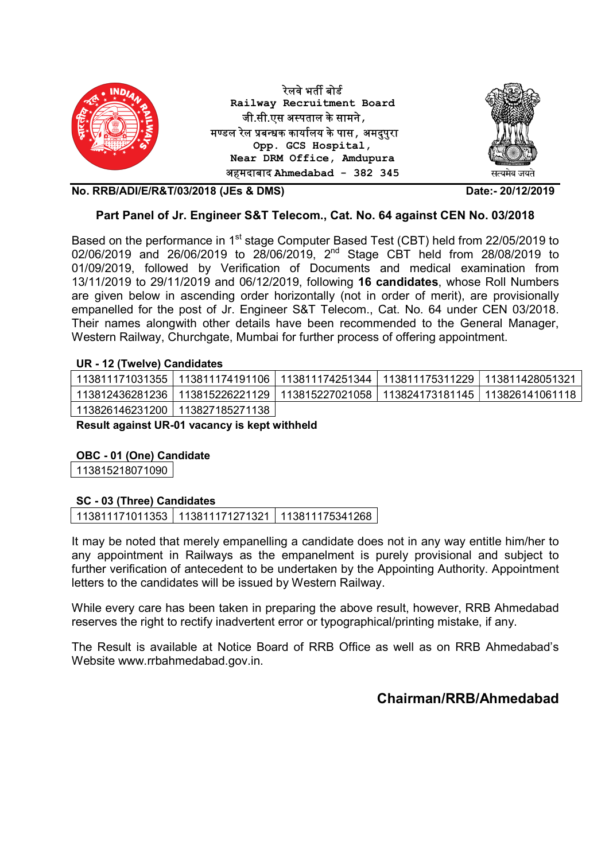

## Part Panel of Jr. Engineer S&T Telecom., Cat. No. 64 against CEN No. 03/2018

Based on the performance in 1<sup>st</sup> stage Computer Based Test (CBT) held from 22/05/2019 to 02/06/2019 and 26/06/2019 to 28/06/2019, 2<sup>nd</sup> Stage CBT held from 28/08/2019 to 01/09/2019, followed by Verification of Documents and medical examination from 13/11/2019 to 29/11/2019 and 06/12/2019, following 16 candidates, whose Roll Numbers are given below in ascending order horizontally (not in order of merit), are provisionally empanelled for the post of Jr. Engineer S&T Telecom., Cat. No. 64 under CEN 03/2018. Their names alongwith other details have been recommended to the General Manager, Western Railway, Churchgate, Mumbai for further process of offering appointment.

## UR - 12 (Twelve) Candidates

| 113811171031355 113811174191106 113811174251344 113811175311229 113811428051321 |  |                                                                                  |
|---------------------------------------------------------------------------------|--|----------------------------------------------------------------------------------|
|                                                                                 |  | .113812436281236 113815226221129 113815227021058 113824173181145 113826141061118 |
| 113826146231200   113827185271138                                               |  |                                                                                  |

Result against UR-01 vacancy is kept withheld

## OBC - 01 (One) Candidate

113815218071090

## SC - 03 (Three) Candidates

113811171011353 113811171271321 113811175341268

It may be noted that merely empanelling a candidate does not in any way entitle him/her to any appointment in Railways as the empanelment is purely provisional and subject to further verification of antecedent to be undertaken by the Appointing Authority. Appointment letters to the candidates will be issued by Western Railway.

While every care has been taken in preparing the above result, however, RRB Ahmedabad reserves the right to rectify inadvertent error or typographical/printing mistake, if any.

The Result is available at Notice Board of RRB Office as well as on RRB Ahmedabad's Website www.rrbahmedabad.gov.in.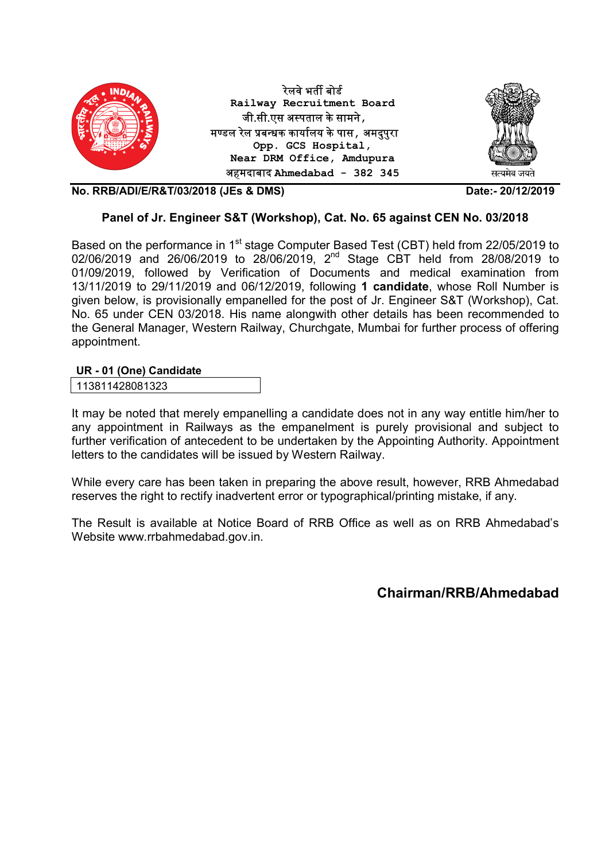

## Panel of Jr. Engineer S&T (Workshop), Cat. No. 65 against CEN No. 03/2018

Based on the performance in 1<sup>st</sup> stage Computer Based Test (CBT) held from 22/05/2019 to 02/06/2019 and 26/06/2019 to 28/06/2019, 2nd Stage CBT held from 28/08/2019 to 01/09/2019, followed by Verification of Documents and medical examination from 13/11/2019 to 29/11/2019 and 06/12/2019, following 1 candidate, whose Roll Number is given below, is provisionally empanelled for the post of Jr. Engineer S&T (Workshop), Cat. No. 65 under CEN 03/2018. His name alongwith other details has been recommended to the General Manager, Western Railway, Churchgate, Mumbai for further process of offering appointment.

## UR - 01 (One) Candidate

It may be noted that merely empanelling a candidate does not in any way entitle him/her to any appointment in Railways as the empanelment is purely provisional and subject to further verification of antecedent to be undertaken by the Appointing Authority. Appointment letters to the candidates will be issued by Western Railway.

While every care has been taken in preparing the above result, however, RRB Ahmedabad reserves the right to rectify inadvertent error or typographical/printing mistake, if any.

The Result is available at Notice Board of RRB Office as well as on RRB Ahmedabad's Website www.rrbahmedabad.gov.in.